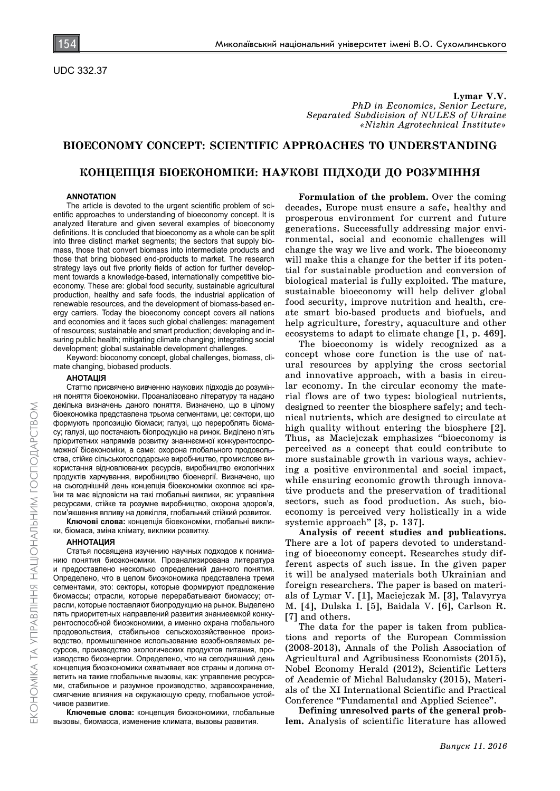**Lymar V.V.** *PhD in Economics, Senior Lecture, Separated Subdivision of NULES of Ukraine «Nizhin Agrotechnical Institute»*

# **BIOECONOMY CONCEPT: SCIENTIFIC APPROACHES TO UNDERSTANDING**

## **КОНЦЕПЦІЯ БІОЕКОНОМІКИ: НАУКОВІ ПІДХОДИ ДО РОЗУМІННЯ**

### **ANNOTATION**

The article is devoted to the urgent scientific problem of scientific approaches to understanding of bioeconomy concept. It is analyzed literature and given several examples of bioeconomy definitions. It is concluded that bioeconomy as a whole can be split into three distinct market segments; the sectors that supply biomass, those that convert biomass into intermediate products and those that bring biobased end-products to market. The research strategy lays out five priority fields of action for further development towards a knowledge-based, internationally competitive bioeconomy. These are: global food security, sustainable agricultural production, healthy and safe foods, the industrial application of renewable resources, and the development of biomass-based energy carriers. Today the bioeconomy concept covers all nations and economies and it faces such global challenges: management of resources; sustainable and smart production; developing and insuring public health; mitigating climate changing; integrating social development; global sustainable development challenges.

Keyword: bioconomy concept, global challenges, biomass, climate changing, biobased products.

### **АНОТАЦІЯ**

Статтю присвячено вивченню наукових підходів до розуміння поняття біоекономіки. Проаналізовано літературу та надано декілька визначень даного поняття. Визначено, що в цілому біоекономіка представлена трьома сегментами, це: сектори, що формують пропозицію біомаси; галузі, що перероблять біомасу; галузі, що постачають біопродукцію на ринок. Виділено п'ять пріоритетних напрямків розвитку знаннєємної конкурентоспроможної біоекономіки, а саме: охорона глобального продовольства, стійке сільськогосподарське виробництво, промислове використання відновлюваних ресурсів, виробництво екологічних продуктів харчування, виробництво біоенергії. Визначено, що на сьогоднішній день концепція біоекономіки охоплює всі країни та має відповісти на такі глобальні виклики, як: управління ресурсами, стійке та розумне виробництво, охорона здоров'я, пом'якшення впливу на довкілля, глобальний стійкий розвиток.

**Ключові слова:** концепція біоекономіки, глобальні виклики, біомаса, зміна клімату, виклики розвитку.

#### **АННОТАЦИЯ**

Статья посвящена изучению научных подходов к пониманию понятия биоэкономики. Проанализирована литература и предоставлено несколько определений данного понятия. Определено, что в целом биоэкономика представлена тремя сегментами, это: секторы, которые формируют предложение биомассы; отрасли, которые перерабатывают биомассу; отрасли, которые поставляют биопродукцию на рынок. Выделено пять приоритетных направлений развития знаниеемкой конкурентоспособной биоэкономики, а именно охрана глобального продовольствия, стабильное сельскохозяйственное производство, промышленное использование возобновляемых ресурсов, производство экологических продуктов питания, производство биоэнергии. Определено, что на сегодняшний день концепция биоэкономики охватывает все страны и должна ответить на такие глобальные вызовы, как: управление ресурсами, стабильное и разумное производство, здравоохранение, смягчение влияния на окружающую среду, глобальное устойчивое развитие.

**Ключевые слова:** концепция биоэкономики, глобальные вызовы, биомасса, изменение климата, вызовы развития.

**Formulation of the problem.** Over the coming decades, Europe must ensure a safe, healthy and prosperous environment for current and future generations. Successfully addressing major environmental, social and economic challenges will change the way we live and work. The bioeconomy will make this a change for the better if its potential for sustainable production and conversion of biological material is fully exploited. The mature, sustainable bioeconomy will help deliver global food security, improve nutrition and health, create smart bio-based products and biofuels, and help agriculture, forestry, aquaculture and other ecosystems to adapt to climate change [1, p. 469].

The bioeconomy is widely recognized as a concept whose core function is the use of natural resources by applying the cross sectorial and innovative approach, with a basis in circular economy. In the circular economy the material flows are of two types: biological nutrients, designed to reenter the biosphere safely; and technical nutrients, which are designed to circulate at high quality without entering the biosphere [2]. Thus, as Maciejczak emphasizes "bioeconomy is perceived as a concept that could contribute to more sustainable growth in various ways, achieving a positive environmental and social impact, while ensuring economic growth through innovative products and the preservation of traditional sectors, such as food production. As such, bioeconomy is perceived very holistically in a wide systemic approach" [3, p. 137].

**Analysis of recent studies and publications.**  There are a lot of papers devoted to understanding of bioeconomy concept. Researches study different aspects of such issue. In the given paper it will be analysed materials both Ukrainian and foreign researchers. The paper is based on materials of Lymar V. [1], Maciejczak M. [3], Talavyrya M. [4], Dulska I. [5], Baidala V. [6], Carlson R. [7] and others.

The data for the paper is taken from publications and reports of the European Commission (2008-2013), Annals of the Polish Association of Agricultural and Agribusiness Economists (2015), Nobel Economy Herald (2012), Scientific Letters of Academie of Michal Baludansky (2015), Materials of the XI International Scientific and Practical Conference "Fundamental and Applied Science".

**Defining unresolved parts of the general problem.** Analysis of scientific literature has allowed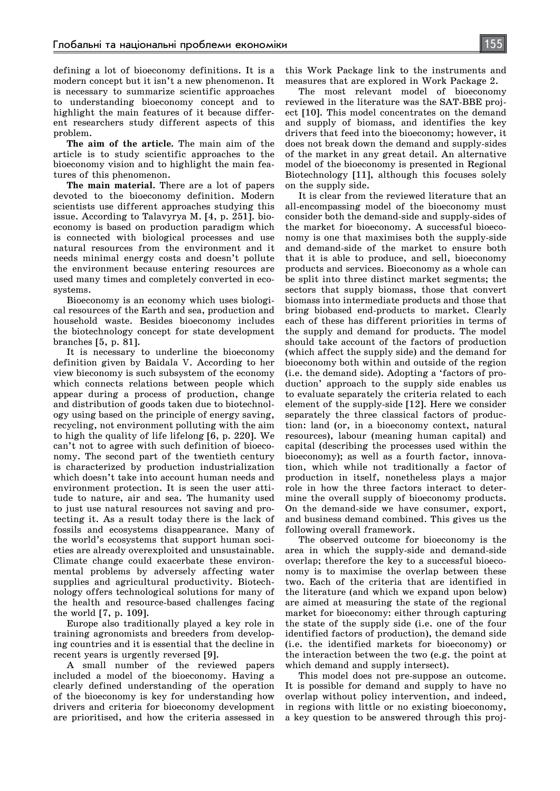defining a lot of bioeconomy definitions. It is a modern concept but it isn't a new phenomenon. It is necessary to summarize scientific approaches to understanding bioeconomy concept and to highlight the main features of it because different researchers study different aspects of this problem.

**The aim of the article.** The main aim of the article is to study scientific approaches to the bioeconomy vision and to highlight the main features of this phenomenon.

**The main material.** There are a lot of papers devoted to the bioeconomy definition. Modern scientists use different approaches studying this issue. According to Talavyrya M. [4, p. 251]. bioeconomy is based on production paradigm which is connected with biological processes and use natural resources from the environment and it needs minimal energy costs and doesn't pollute the environment because entering resources are used many times and completely converted in ecosystems.

Bioeconomy is an economy which uses biological resources of the Earth and sea, production and household waste. Besides bioeconomy includes the biotechnology concept for state development branches [5, p. 81].

It is necessary to underline the bioeconomy definition given by Baidala V. According to her view bieconomy is such subsystem of the economy which connects relations between people which appear during a process of production, change and distribution of goods taken due to biotechnology using based on the principle of energy saving, recycling, not environment polluting with the aim to high the quality of life lifelong [6, p. 220]. We can't not to agree with such definition of bioeconomy. The second part of the twentieth century is characterized by production industrialization which doesn't take into account human needs and environment protection. It is seen the user attitude to nature, air and sea. The humanity used to just use natural resources not saving and protecting it. As a result today there is the lack of fossils and ecosystems disappearance. Many of the world's ecosystems that support human societies are already overexploited and unsustainable. Climate change could exacerbate these environmental problems by adversely affecting water supplies and agricultural productivity. Biotechnology offers technological solutions for many of the health and resource-based challenges facing the world [7, p. 109].

Europe also traditionally played a key role in training agronomists and breeders from developing countries and it is essential that the decline in recent years is urgently reversed [9].

A small number of the reviewed papers included a model of the bioeconomy. Having a clearly defined understanding of the operation of the bioeconomy is key for understanding how drivers and criteria for bioeconomy development are prioritised, and how the criteria assessed in

this Work Package link to the instruments and measures that are explored in Work Package 2.

The most relevant model of bioeconomy reviewed in the literature was the SAT-BBE project [10]. This model concentrates on the demand and supply of biomass, and identifies the key drivers that feed into the bioeconomy; however, it does not break down the demand and supply-sides of the market in any great detail. An alternative model of the bioeconomy is presented in Regional Biotechnology [11], although this focuses solely on the supply side.

It is clear from the reviewed literature that an all-encompassing model of the bioeconomy must consider both the demand-side and supply-sides of the market for bioeconomy. A successful bioeconomy is one that maximises both the supply-side and demand-side of the market to ensure both that it is able to produce, and sell, bioeconomy products and services. Bioeconomy as a whole can be split into three distinct market segments; the sectors that supply biomass, those that convert biomass into intermediate products and those that bring biobased end-products to market. Clearly each of these has different priorities in terms of the supply and demand for products. The model should take account of the factors of production (which affect the supply side) and the demand for bioeconomy both within and outside of the region (i.e. the demand side). Adopting a 'factors of production' approach to the supply side enables us to evaluate separately the criteria related to each element of the supply-side [12]. Here we consider separately the three classical factors of production: land (or, in a bioeconomy context, natural resources), labour (meaning human capital) and capital (describing the processes used within the bioeconomy); as well as a fourth factor, innovation, which while not traditionally a factor of production in itself, nonetheless plays a major role in how the three factors interact to determine the overall supply of bioeconomy products. On the demand-side we have consumer, export, and business demand combined. This gives us the following overall framework.

The observed outcome for bioeconomy is the area in which the supply-side and demand-side overlap; therefore the key to a successful bioeconomy is to maximise the overlap between these two. Each of the criteria that are identified in the literature (and which we expand upon below) are aimed at measuring the state of the regional market for bioeconomy: either through capturing the state of the supply side (i.e. one of the four identified factors of production), the demand side (i.e. the identified markets for bioeconomy) or the interaction between the two (e.g. the point at which demand and supply intersect).

This model does not pre-suppose an outcome. It is possible for demand and supply to have no overlap without policy intervention, and indeed, in regions with little or no existing bioeconomy, a key question to be answered through this proj-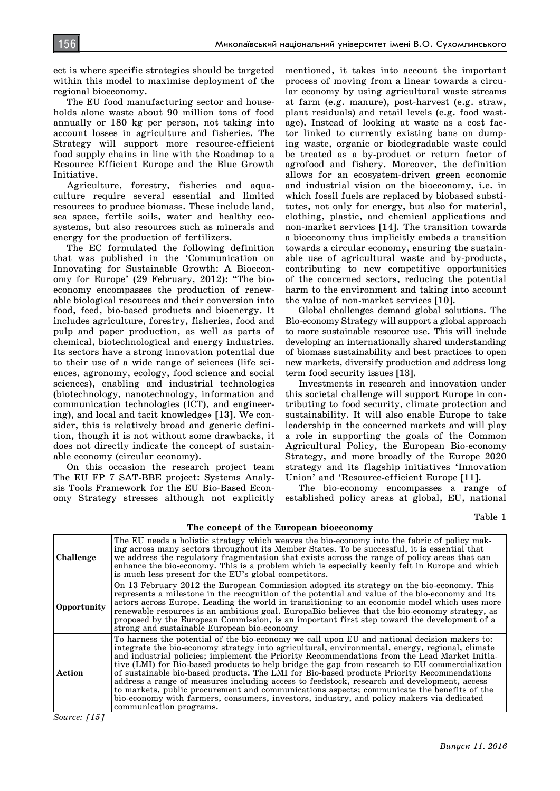ect is where specific strategies should be targeted within this model to maximise deployment of the regional bioeconomy.

The EU food manufacturing sector and households alone waste about 90 million tons of food annually or 180 kg per person, not taking into account losses in agriculture and fisheries. The Strategy will support more resource-efficient food supply chains in line with the Roadmap to a Resource Efficient Europe and the Blue Growth Initiative.

Agriculture, forestry, fisheries and aquaculture require several essential and limited resources to produce biomass. These include land, sea space, fertile soils, water and healthy ecosystems, but also resources such as minerals and energy for the production of fertilizers.

The EC formulated the following definition that was published in the 'Communication on Innovating for Sustainable Growth: A Bioeconomy for Europe' (29 February, 2012): "The bioeconomy encompasses the production of renewable biological resources and their conversion into food, feed, bio-based products and bioenergy. It includes agriculture, forestry, fisheries, food and pulp and paper production, as well as parts of chemical, biotechnological and energy industries. Its sectors have a strong innovation potential due to their use of a wide range of sciences (life sciences, agronomy, ecology, food science and social sciences), enabling and industrial technologies (biotechnology, nanotechnology, information and communication technologies (ICT), and engineering), and local and tacit knowledge» [13]. We consider, this is relatively broad and generic definition, though it is not without some drawbacks, it does not directly indicate the concept of sustainable economy (circular economy).

On this occasion the research project team The EU FP 7 SAT-BBE project: Systems Analysis Tools Framework for the EU Bio-Based Economy Strategy stresses although not explicitly

mentioned, it takes into account the important process of moving from a linear towards a circular economy by using agricultural waste streams at farm (e.g. manure), post-harvest (e.g. straw, plant residuals) and retail levels (e.g. food wastage). Instead of looking at waste as a cost factor linked to currently existing bans on dumping waste, organic or biodegradable waste could be treated as a by-product or return factor of agrofood and fishery. Moreover, the definition allows for an ecosystem-driven green economic and industrial vision on the bioeconomy, i.e. in which fossil fuels are replaced by biobased substitutes, not only for energy, but also for material, clothing, plastic, and chemical applications and non-market services [14]. The transition towards a bioeconomy thus implicitly embeds a transition towards a circular economy, ensuring the sustainable use of agricultural waste and by-products, contributing to new competitive opportunities of the concerned sectors, reducing the potential harm to the environment and taking into account the value of non-market services [10].

Global challenges demand global solutions. The Bio-economy Strategy will support a global approach to more sustainable resource use. This will include developing an internationally shared understanding of biomass sustainability and best practices to open new markets, diversify production and address long term food security issues [13].

Investments in research and innovation under this societal challenge will support Europe in contributing to food security, climate protection and sustainability. It will also enable Europe to take leadership in the concerned markets and will play a role in supporting the goals of the Common Agricultural Policy, the European Bio-economy Strategy, and more broadly of the Europe 2020 strategy and its flagship initiatives 'Innovation Union' and 'Resource-efficient Europe [11].

The bio-economy encompasses a range of established policy areas at global, EU, national

Table 1

| Challenge   | The EU needs a holistic strategy which weaves the bio-economy into the fabric of policy mak-<br>ing across many sectors throughout its Member States. To be successful, it is essential that<br>we address the regulatory fragmentation that exists across the range of policy areas that can<br>enhance the bio-economy. This is a problem which is especially keenly felt in Europe and which<br>is much less present for the EU's global competitors.                                                                                                                                                                                                                                                                                                                                                            |
|-------------|---------------------------------------------------------------------------------------------------------------------------------------------------------------------------------------------------------------------------------------------------------------------------------------------------------------------------------------------------------------------------------------------------------------------------------------------------------------------------------------------------------------------------------------------------------------------------------------------------------------------------------------------------------------------------------------------------------------------------------------------------------------------------------------------------------------------|
| Opportunity | On 13 February 2012 the European Commission adopted its strategy on the bio-economy. This<br>represents a milestone in the recognition of the potential and value of the bio-economy and its<br>actors across Europe. Leading the world in transitioning to an economic model which uses more<br>renewable resources is an ambitious goal. EuropaBio believes that the bio-economy strategy, as<br>proposed by the European Commission, is an important first step toward the development of a<br>strong and sustainable European bio-economy                                                                                                                                                                                                                                                                       |
| Action      | To harness the potential of the bio-economy we call upon EU and national decision makers to:<br>integrate the bio-economy strategy into agricultural, environmental, energy, regional, climate<br>and industrial policies; implement the Priority Recommendations from the Lead Market Initia-<br>tive (LMI) for Bio-based products to help bridge the gap from research to EU commercialization<br>of sustainable bio-based products. The LMI for Bio-based products Priority Recommendations<br>address a range of measures including access to feedstock, research and development, access<br>to markets, public procurement and communications aspects; communicate the benefits of the<br>bio-economy with farmers, consumers, investors, industry, and policy makers via dedicated<br>communication programs. |

**The concept of the European bioeconomy**

*Source: [15]*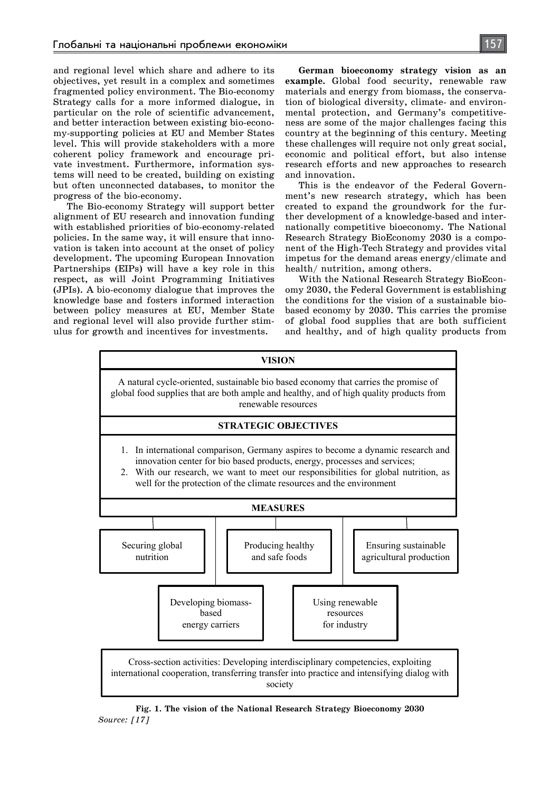and regional level which share and adhere to its objectives, yet result in a complex and sometimes fragmented policy environment. The Bio-economy Strategy calls for a more informed dialogue, in particular on the role of scientific advancement, and better interaction between existing bio-economy-supporting policies at EU and Member States level. This will provide stakeholders with a more coherent policy framework and encourage private investment. Furthermore, information systems will need to be created, building on existing but often unconnected databases, to monitor the progress of the bio-economy.

The Bio-economy Strategy will support better alignment of EU research and innovation funding with established priorities of bio-economy-related policies. In the same way, it will ensure that innovation is taken into account at the onset of policy development. The upcoming European Innovation Partnerships (EIPs) will have a key role in this respect, as will Joint Programming Initiatives (JPIs). A bio-economy dialogue that improves the knowledge base and fosters informed interaction between policy measures at EU, Member State and regional level will also provide further stimulus for growth and incentives for investments.

**German bioeconomy strategy vision as an example.** Global food security, renewable raw materials and energy from biomass, the conservation of biological diversity, climate- and environmental protection, and Germany's competitiveness are some of the major challenges facing this country at the beginning of this century. Meeting these challenges will require not only great social, economic and political effort, but also intense research efforts and new approaches to research and innovation.

This is the endeavor of the Federal Government's new research strategy, which has been created to expand the groundwork for the further development of a knowledge-based and internationally competitive bioeconomy. The National Research Strategy BioEconomy 2030 is a component of the High-Tech Strategy and provides vital impetus for the demand areas energy/climate and health/ nutrition, among others.

With the National Research Strategy BioEconomy 2030, the Federal Government is establishing the conditions for the vision of a sustainable biobased economy by 2030. This carries the promise of global food supplies that are both sufficient and healthy, and of high quality products from



**Fig. 1. The vision of the National Research Strategy Bioeconomy 2030** *Source: [17]*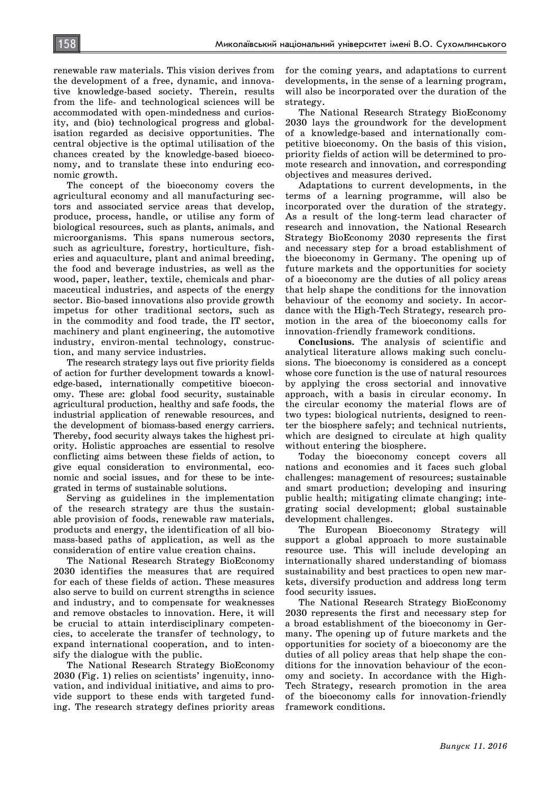renewable raw materials. This vision derives from the development of a free, dynamic, and innovative knowledge-based society. Therein, results from the life- and technological sciences will be accommodated with open-mindedness and curiosity, and (bio) technological progress and globalisation regarded as decisive opportunities. The central objective is the optimal utilisation of the chances created by the knowledge-based bioeconomy, and to translate these into enduring economic growth.

The concept of the bioeconomy covers the agricultural economy and all manufacturing sectors and associated service areas that develop, produce, process, handle, or utilise any form of biological resources, such as plants, animals, and microorganisms. This spans numerous sectors, such as agriculture, forestry, horticulture, fisheries and aquaculture, plant and animal breeding, the food and beverage industries, as well as the wood, paper, leather, textile, chemicals and pharmaceutical industries, and aspects of the energy sector. Bio-based innovations also provide growth impetus for other traditional sectors, such as in the commodity and food trade, the IT sector, machinery and plant engineering, the automotive industry, environ-mental technology, construction, and many service industries.

The research strategy lays out five priority fields of action for further development towards a knowledge-based, internationally competitive bioeconomy. These are: global food security, sustainable agricultural production, healthy and safe foods, the industrial application of renewable resources, and the development of biomass-based energy carriers. Thereby, food security always takes the highest priority. Holistic approaches are essential to resolve conflicting aims between these fields of action, to give equal consideration to environmental, economic and social issues, and for these to be integrated in terms of sustainable solutions.

Serving as guidelines in the implementation of the research strategy are thus the sustainable provision of foods, renewable raw materials, products and energy, the identification of all biomass-based paths of application, as well as the consideration of entire value creation chains.

The National Research Strategy BioEconomy 2030 identifies the measures that are required for each of these fields of action. These measures also serve to build on current strengths in science and industry, and to compensate for weaknesses and remove obstacles to innovation. Here, it will be crucial to attain interdisciplinary competencies, to accelerate the transfer of technology, to expand international cooperation, and to intensify the dialogue with the public.

The National Research Strategy BioEconomy 2030 (Fig. 1) relies on scientists' ingenuity, innovation, and individual initiative, and aims to provide support to these ends with targeted funding. The research strategy defines priority areas for the coming years, and adaptations to current developments, in the sense of a learning program, will also be incorporated over the duration of the strategy.

The National Research Strategy BioEconomy 2030 lays the groundwork for the development of a knowledge-based and internationally competitive bioeconomy. On the basis of this vision, priority fields of action will be determined to promote research and innovation, and corresponding objectives and measures derived.

Adaptations to current developments, in the terms of a learning programme, will also be incorporated over the duration of the strategy. As a result of the long-term lead character of research and innovation, the National Research Strategy BioEconomy 2030 represents the first and necessary step for a broad establishment of the bioeconomy in Germany. The opening up of future markets and the opportunities for society of a bioeconomy are the duties of all policy areas that help shape the conditions for the innovation behaviour of the economy and society. In accordance with the High-Tech Strategy, research promotion in the area of the bioeconomy calls for innovation-friendly framework conditions.

**Conclusions.** The analysis of scientific and analytical literature allows making such conclusions. The bioeconomy is considered as a concept whose core function is the use of natural resources by applying the cross sectorial and innovative approach, with a basis in circular economy. In the circular economy the material flows are of two types: biological nutrients, designed to reenter the biosphere safely; and technical nutrients, which are designed to circulate at high quality without entering the biosphere.

Today the bioeconomy concept covers all nations and economies and it faces such global challenges: management of resources; sustainable and smart production; developing and insuring public health; mitigating climate changing; integrating social development; global sustainable development challenges.

The European Bioeconomy Strategy will support a global approach to more sustainable resource use. This will include developing an internationally shared understanding of biomass sustainability and best practices to open new markets, diversify production and address long term food security issues.

The National Research Strategy BioEconomy 2030 represents the first and necessary step for a broad establishment of the bioeconomy in Germany. The opening up of future markets and the opportunities for society of a bioeconomy are the duties of all policy areas that help shape the conditions for the innovation behaviour of the economy and society. In accordance with the High-Tech Strategy, research promotion in the area of the bioeconomy calls for innovation-friendly framework conditions.